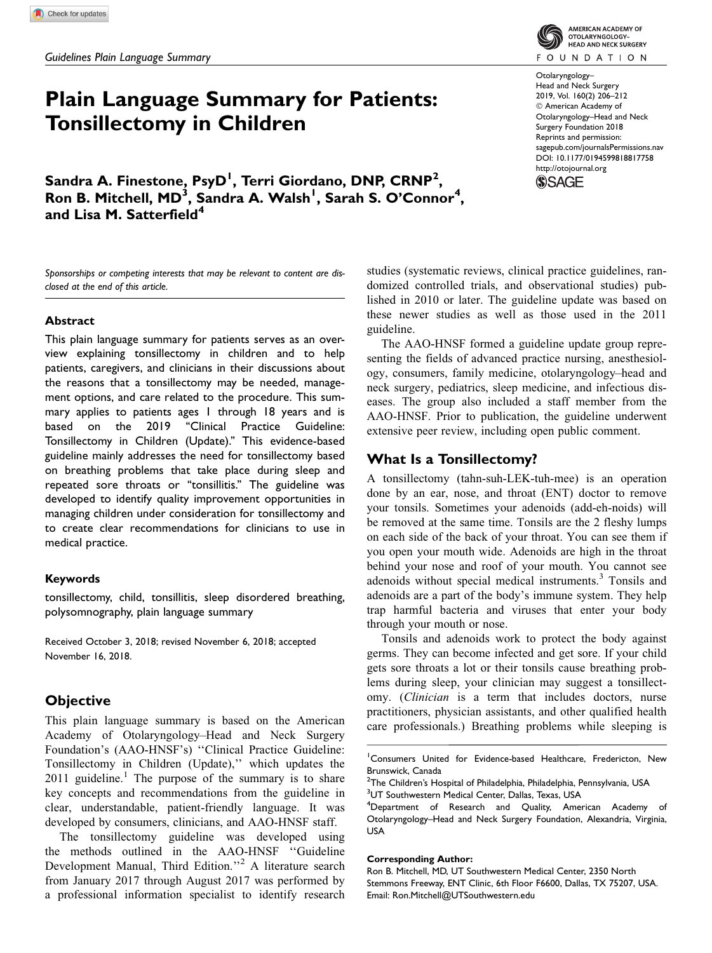# Plain Language Summary for Patients: Tonsillectomy in Children

 $\sf{Sandra}$  A. Finestone,  $\sf{PSyD}^1$ , Terri Giordano, DNP,  $\sf{CRNP}^2,$ Ron B. Mitchell, MD<sup>3</sup>, Sandra A. Walsh<sup>1</sup>, Sarah S. O'Connor<sup>4</sup>, and Lisa M. Satterfield<sup>4</sup>

AMERICAN ACADEMY OF OTOLARYNGOLOGY-<br>HEAD AND NECK SURGERY **FOUNDATION** 

Otolaryngology– Head and Neck Surgery 2019, Vol. 160(2) 206–212 © American Academy of Otolaryngology–Head and Neck Surgery Foundation 2018 Reprints and permission: [sagepub.com/journalsPermissions.nav](https://sagepub.com/journalsPermissions.nav) DOI: [10.1177/0194599818817758](https://doi.org/10.1177/0194599818817758) http://otojournal.org

**SSAGE** 

Sponsorships or competing interests that may be relevant to content are disclosed at the end of this article.

#### Abstract

This plain language summary for patients serves as an overview explaining tonsillectomy in children and to help patients, caregivers, and clinicians in their discussions about the reasons that a tonsillectomy may be needed, management options, and care related to the procedure. This summary applies to patients ages 1 through 18 years and is based on the 2019 "Clinical Practice Guideline: Tonsillectomy in Children (Update).'' This evidence-based guideline mainly addresses the need for tonsillectomy based on breathing problems that take place during sleep and repeated sore throats or ''tonsillitis.'' The guideline was developed to identify quality improvement opportunities in managing children under consideration for tonsillectomy and to create clear recommendations for clinicians to use in medical practice.

### Keywords

tonsillectomy, child, tonsillitis, sleep disordered breathing, polysomnography, plain language summary

Received October 3, 2018; revised November 6, 2018; accepted November 16, 2018.

## **Objective**

This plain language summary is based on the American Academy of Otolaryngology–Head and Neck Surgery Foundation's (AAO-HNSF's) ''Clinical Practice Guideline: Tonsillectomy in Children (Update),'' which updates the  $2011$  guideline.<sup>1</sup> The purpose of the summary is to share key concepts and recommendations from the guideline in clear, understandable, patient-friendly language. It was developed by consumers, clinicians, and AAO-HNSF staff.

The tonsillectomy guideline was developed using the methods outlined in the AAO-HNSF ''Guideline Development Manual, Third Edition."<sup>2</sup> A literature search from January 2017 through August 2017 was performed by a professional information specialist to identify research studies (systematic reviews, clinical practice guidelines, randomized controlled trials, and observational studies) published in 2010 or later. The guideline update was based on these newer studies as well as those used in the 2011 guideline.

The AAO-HNSF formed a guideline update group representing the fields of advanced practice nursing, anesthesiology, consumers, family medicine, otolaryngology–head and neck surgery, pediatrics, sleep medicine, and infectious diseases. The group also included a staff member from the AAO-HNSF. Prior to publication, the guideline underwent extensive peer review, including open public comment.

# What Is a Tonsillectomy?

A tonsillectomy (tahn-suh-LEK-tuh-mee) is an operation done by an ear, nose, and throat (ENT) doctor to remove your tonsils. Sometimes your adenoids (add-eh-noids) will be removed at the same time. Tonsils are the 2 fleshy lumps on each side of the back of your throat. You can see them if you open your mouth wide. Adenoids are high in the throat behind your nose and roof of your mouth. You cannot see adenoids without special medical instruments.<sup>3</sup> Tonsils and adenoids are a part of the body's immune system. They help trap harmful bacteria and viruses that enter your body through your mouth or nose.

Tonsils and adenoids work to protect the body against germs. They can become infected and get sore. If your child gets sore throats a lot or their tonsils cause breathing problems during sleep, your clinician may suggest a tonsillectomy. (Clinician is a term that includes doctors, nurse practitioners, physician assistants, and other qualified health care professionals.) Breathing problems while sleeping is

#### Corresponding Author:

Ron B. Mitchell, MD, UT Southwestern Medical Center, 2350 North Stemmons Freeway, ENT Clinic, 6th Floor F6600, Dallas, TX 75207, USA. Email: Ron.Mitchell@UTSouthwestern.edu

<sup>1</sup> Consumers United for Evidence-based Healthcare, Fredericton, New Brunswick, Canada

<sup>&</sup>lt;sup>2</sup>The Children's Hospital of Philadelphia, Philadelphia, Pennsylvania, USA <sup>3</sup>UT Southwestern Medical Center, Dallas, Texas, USA

<sup>&</sup>lt;sup>4</sup>Department of Research and Quality, American Academy of Otolaryngology–Head and Neck Surgery Foundation, Alexandria, Virginia, USA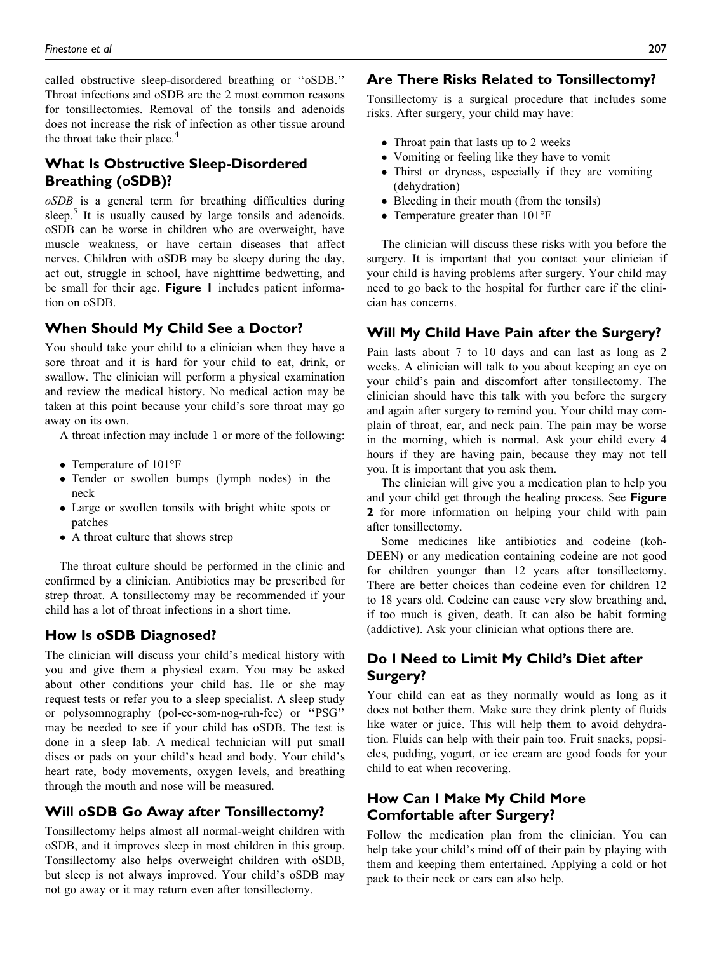called obstructive sleep-disordered breathing or ''oSDB.'' Throat infections and oSDB are the 2 most common reasons for tonsillectomies. Removal of the tonsils and adenoids does not increase the risk of infection as other tissue around the throat take their place.<sup>4</sup>

# What Is Obstructive Sleep-Disordered Breathing (oSDB)?

oSDB is a general term for breathing difficulties during sleep.<sup>5</sup> It is usually caused by large tonsils and adenoids. oSDB can be worse in children who are overweight, have muscle weakness, or have certain diseases that affect nerves. Children with oSDB may be sleepy during the day, act out, struggle in school, have nighttime bedwetting, and be small for their age. Figure  $\boldsymbol{\mathsf{I}}$  includes patient information on oSDB.

## When Should My Child See a Doctor?

You should take your child to a clinician when they have a sore throat and it is hard for your child to eat, drink, or swallow. The clinician will perform a physical examination and review the medical history. No medical action may be taken at this point because your child's sore throat may go away on its own.

A throat infection may include 1 or more of the following:

- Temperature of 101°F
- Tender or swollen bumps (lymph nodes) in the neck
- Large or swollen tonsils with bright white spots or patches
- A throat culture that shows strep

The throat culture should be performed in the clinic and confirmed by a clinician. Antibiotics may be prescribed for strep throat. A tonsillectomy may be recommended if your child has a lot of throat infections in a short time.

## How Is oSDB Diagnosed?

The clinician will discuss your child's medical history with you and give them a physical exam. You may be asked about other conditions your child has. He or she may request tests or refer you to a sleep specialist. A sleep study or polysomnography (pol-ee-som-nog-ruh-fee) or ''PSG'' may be needed to see if your child has oSDB. The test is done in a sleep lab. A medical technician will put small discs or pads on your child's head and body. Your child's heart rate, body movements, oxygen levels, and breathing through the mouth and nose will be measured.

## Will oSDB Go Away after Tonsillectomy?

Tonsillectomy helps almost all normal-weight children with oSDB, and it improves sleep in most children in this group. Tonsillectomy also helps overweight children with oSDB, but sleep is not always improved. Your child's oSDB may not go away or it may return even after tonsillectomy.

## Are There Risks Related to Tonsillectomy?

Tonsillectomy is a surgical procedure that includes some risks. After surgery, your child may have:

- Throat pain that lasts up to 2 weeks
- Vomiting or feeling like they have to vomit
- Thirst or dryness, especially if they are vomiting (dehydration)
- Bleeding in their mouth (from the tonsils)
- Temperature greater than 101°F

The clinician will discuss these risks with you before the surgery. It is important that you contact your clinician if your child is having problems after surgery. Your child may need to go back to the hospital for further care if the clinician has concerns.

## Will My Child Have Pain after the Surgery?

Pain lasts about 7 to 10 days and can last as long as 2 weeks. A clinician will talk to you about keeping an eye on your child's pain and discomfort after tonsillectomy. The clinician should have this talk with you before the surgery and again after surgery to remind you. Your child may complain of throat, ear, and neck pain. The pain may be worse in the morning, which is normal. Ask your child every 4 hours if they are having pain, because they may not tell you. It is important that you ask them.

The clinician will give you a medication plan to help you and your child get through the healing process. See Figure 2 for more information on helping your child with pain after tonsillectomy.

Some medicines like antibiotics and codeine (koh-DEEN) or any medication containing codeine are not good for children younger than 12 years after tonsillectomy. There are better choices than codeine even for children 12 to 18 years old. Codeine can cause very slow breathing and, if too much is given, death. It can also be habit forming (addictive). Ask your clinician what options there are.

# Do I Need to Limit My Child's Diet after Surgery?

Your child can eat as they normally would as long as it does not bother them. Make sure they drink plenty of fluids like water or juice. This will help them to avoid dehydration. Fluids can help with their pain too. Fruit snacks, popsicles, pudding, yogurt, or ice cream are good foods for your child to eat when recovering.

# How Can I Make My Child More Comfortable after Surgery?

Follow the medication plan from the clinician. You can help take your child's mind off of their pain by playing with them and keeping them entertained. Applying a cold or hot pack to their neck or ears can also help.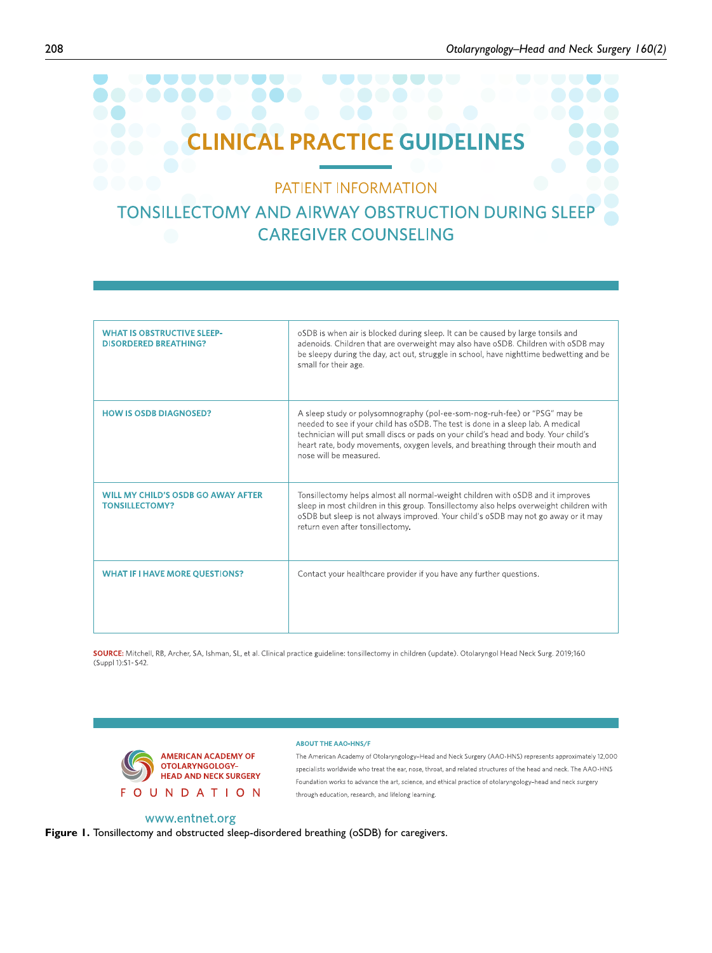

 $\blacksquare$ 

PATIENT INFORMATION

# TONSILLECTOMY AND AIRWAY OBSTRUCTION DURING SLEEP **CAREGIVER COUNSELING**

| <b>WHAT IS OBSTRUCTIVE SLEEP-</b><br><b>DISORDERED BREATHING?</b> | oSDB is when air is blocked during sleep. It can be caused by large tonsils and<br>adenoids. Children that are overweight may also have oSDB. Children with oSDB may<br>be sleepy during the day, act out, struggle in school, have nighttime bedwetting and be<br>small for their age.                                                                            |
|-------------------------------------------------------------------|--------------------------------------------------------------------------------------------------------------------------------------------------------------------------------------------------------------------------------------------------------------------------------------------------------------------------------------------------------------------|
| <b>HOW IS OSDB DIAGNOSED?</b>                                     | A sleep study or polysomnography (pol-ee-som-nog-ruh-fee) or "PSG" may be<br>needed to see if your child has oSDB. The test is done in a sleep lab. A medical<br>technician will put small discs or pads on your child's head and body. Your child's<br>heart rate, body movements, oxygen levels, and breathing through their mouth and<br>nose will be measured. |
| WILL MY CHILD'S OSDB GO AWAY AFTER<br><b>TONSILLECTOMY?</b>       | Tonsillectomy helps almost all normal-weight children with oSDB and it improves<br>sleep in most children in this group. Tonsillectomy also helps overweight children with<br>oSDB but sleep is not always improved. Your child's oSDB may not go away or it may<br>return even after tonsillectomy.                                                               |
| <b>WHAT IF I HAVE MORE QUESTIONS?</b>                             | Contact your healthcare provider if you have any further questions.                                                                                                                                                                                                                                                                                                |

SOURCE: Mitchell, RB, Archer, SA, Ishman, SL, et al. Clinical practice guideline: tonsillectomy in children (update). Otolaryngol Head Neck Surg. 2019;160 (Suppl 1):S1-S42.



#### **ABOUT THE AAO-HNS/F**

The American Academy of Otolaryngology-Head and Neck Surgery (AAO-HNS) represents approximately 12,000 specialists worldwide who treat the ear, nose, throat, and related structures of the head and neck. The AAO-HNS Foundation works to advance the art, science, and ethical practice of otolaryngology-head and neck surgery through education, research, and lifelong learning.

www.entnet.org

Figure 1. Tonsillectomy and obstructed sleep-disordered breathing (oSDB) for caregivers.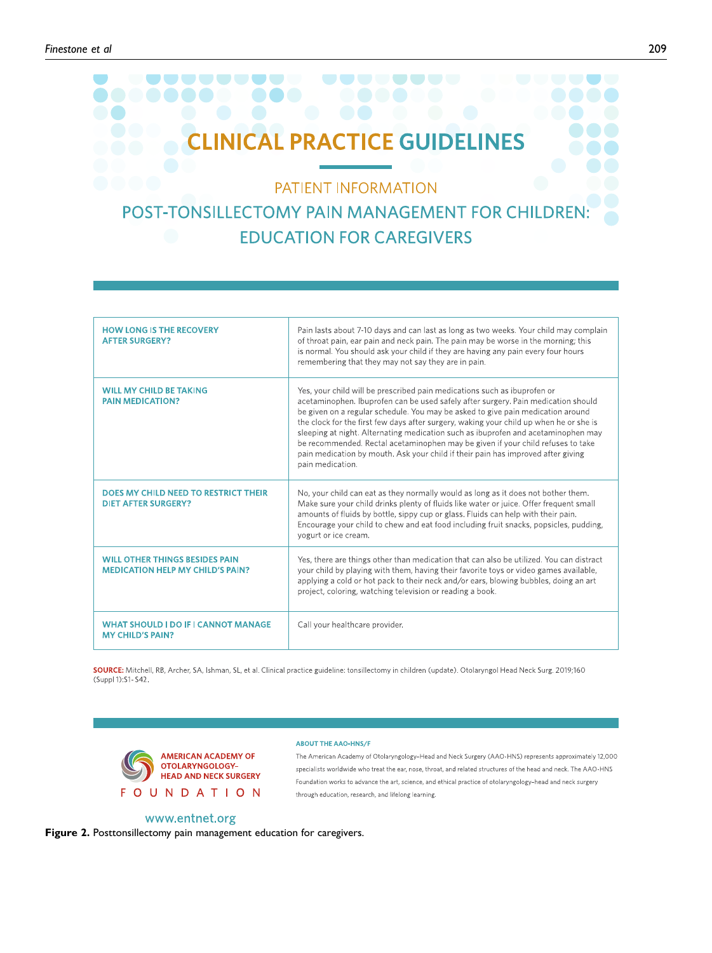

<u>. . . . . . .</u>

PATIENT INFORMATION

<u>. . . . . . . . .</u>

# POST-TONSILLECTOMY PAIN MANAGEMENT FOR CHILDREN: **EDUCATION FOR CAREGIVERS**

| <b>HOW LONG IS THE RECOVERY</b><br><b>AFTER SURGERY?</b>                         | Pain lasts about 7-10 days and can last as long as two weeks. Your child may complain<br>of throat pain, ear pain and neck pain. The pain may be worse in the morning; this<br>is normal. You should ask your child if they are having any pain every four hours<br>remembering that they may not say they are in pain.                                                                                                                                                                                                                                                                                                    |
|----------------------------------------------------------------------------------|----------------------------------------------------------------------------------------------------------------------------------------------------------------------------------------------------------------------------------------------------------------------------------------------------------------------------------------------------------------------------------------------------------------------------------------------------------------------------------------------------------------------------------------------------------------------------------------------------------------------------|
| <b>WILL MY CHILD BE TAKING</b><br><b>PAIN MEDICATION?</b>                        | Yes, your child will be prescribed pain medications such as ibuprofen or<br>acetaminophen. Ibuprofen can be used safely after surgery. Pain medication should<br>be given on a regular schedule. You may be asked to give pain medication around<br>the clock for the first few days after surgery, waking your child up when he or she is<br>sleeping at night. Alternating medication such as ibuprofen and acetaminophen may<br>be recommended. Rectal acetaminophen may be given if your child refuses to take<br>pain medication by mouth. Ask your child if their pain has improved after giving<br>pain medication. |
| DOES MY CHILD NEED TO RESTRICT THEIR<br><b>DIET AFTER SURGERY?</b>               | No, your child can eat as they normally would as long as it does not bother them.<br>Make sure your child drinks plenty of fluids like water or juice. Offer frequent small<br>amounts of fluids by bottle, sippy cup or glass. Fluids can help with their pain.<br>Encourage your child to chew and eat food including fruit snacks, popsicles, pudding,<br>yogurt or ice cream.                                                                                                                                                                                                                                          |
| <b>WILL OTHER THINGS BESIDES PAIN</b><br><b>MEDICATION HELP MY CHILD'S PAIN?</b> | Yes, there are things other than medication that can also be utilized. You can distract<br>your child by playing with them, having their favorite toys or video games available,<br>applying a cold or hot pack to their neck and/or ears, blowing bubbles, doing an art<br>project, coloring, watching television or reading a book.                                                                                                                                                                                                                                                                                      |
| <b>WHAT SHOULD LDO IF LCANNOT MANAGE</b><br><b>MY CHILD'S PAIN?</b>              | Call your healthcare provider.                                                                                                                                                                                                                                                                                                                                                                                                                                                                                                                                                                                             |

SOURCE: Mitchell, RB, Archer, SA, Ishman, SL, et al. Clinical practice guideline: tonsillectomy in children (update). Otolaryngol Head Neck Surg. 2019;160 (Suppl 1):S1-S42.



#### **ABOUT THE AAO-HNS/F**

The American Academy of Otolaryngology-Head and Neck Surgery (AAO-HNS) represents approximately 12,000 specialists worldwide who treat the ear, nose, throat, and related structures of the head and neck. The AAO-HNS Foundation works to advance the art, science, and ethical practice of otolaryngology-head and neck surgery through education, research, and lifelong learning.

www.entnet.org

Figure 2. Posttonsillectomy pain management education for caregivers.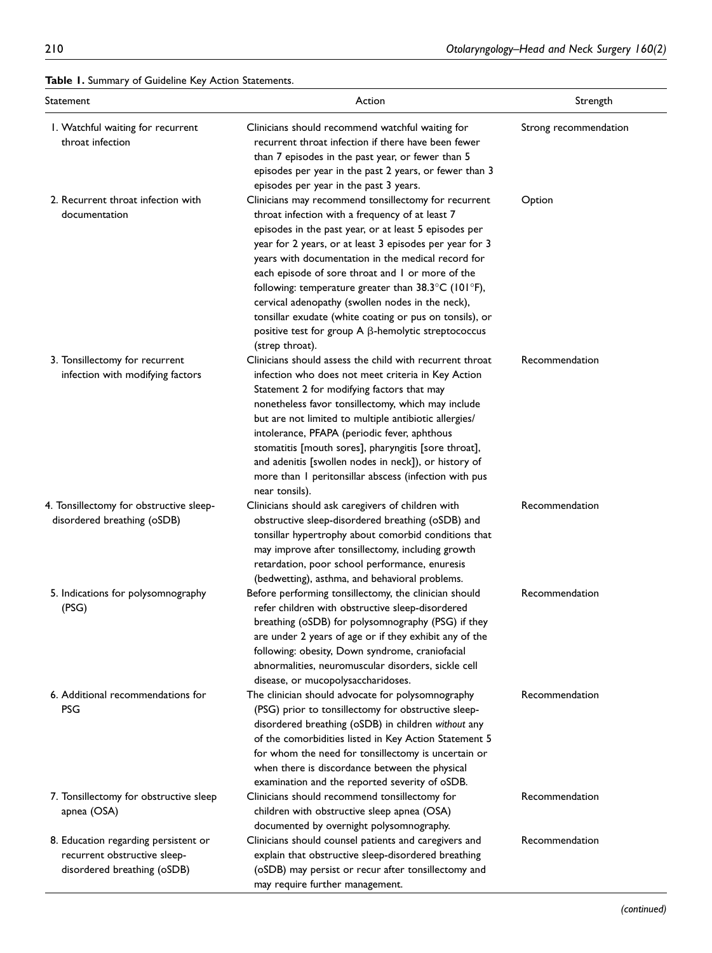Table 1. Summary of Guideline Key Action Statements.

| Statement                                                                                           | Action                                                                                                                                                                                                                                                                                                                                                                                                                                                                                                                                                                                                           | Strength              |
|-----------------------------------------------------------------------------------------------------|------------------------------------------------------------------------------------------------------------------------------------------------------------------------------------------------------------------------------------------------------------------------------------------------------------------------------------------------------------------------------------------------------------------------------------------------------------------------------------------------------------------------------------------------------------------------------------------------------------------|-----------------------|
| I. Watchful waiting for recurrent<br>throat infection                                               | Clinicians should recommend watchful waiting for<br>recurrent throat infection if there have been fewer<br>than 7 episodes in the past year, or fewer than 5<br>episodes per year in the past 2 years, or fewer than 3<br>episodes per year in the past 3 years.                                                                                                                                                                                                                                                                                                                                                 | Strong recommendation |
| 2. Recurrent throat infection with<br>documentation                                                 | Clinicians may recommend tonsillectomy for recurrent<br>throat infection with a frequency of at least 7<br>episodes in the past year, or at least 5 episodes per<br>year for 2 years, or at least 3 episodes per year for 3<br>years with documentation in the medical record for<br>each episode of sore throat and I or more of the<br>following: temperature greater than $38.3^{\circ}C$ (101 $^{\circ}F$ ),<br>cervical adenopathy (swollen nodes in the neck),<br>tonsillar exudate (white coating or pus on tonsils), or<br>positive test for group $A \beta$ -hemolytic streptococcus<br>(strep throat). | Option                |
| 3. Tonsillectomy for recurrent<br>infection with modifying factors                                  | Clinicians should assess the child with recurrent throat<br>infection who does not meet criteria in Key Action<br>Statement 2 for modifying factors that may<br>nonetheless favor tonsillectomy, which may include<br>but are not limited to multiple antibiotic allergies/<br>intolerance, PFAPA (periodic fever, aphthous<br>stomatitis [mouth sores], pharyngitis [sore throat],<br>and adenitis [swollen nodes in neck]), or history of<br>more than I peritonsillar abscess (infection with pus<br>near tonsils).                                                                                           | Recommendation        |
| 4. Tonsillectomy for obstructive sleep-<br>disordered breathing (oSDB)                              | Clinicians should ask caregivers of children with<br>obstructive sleep-disordered breathing (oSDB) and<br>tonsillar hypertrophy about comorbid conditions that<br>may improve after tonsillectomy, including growth<br>retardation, poor school performance, enuresis<br>(bedwetting), asthma, and behavioral problems.                                                                                                                                                                                                                                                                                          | Recommendation        |
| 5. Indications for polysomnography<br>(PSG)                                                         | Before performing tonsillectomy, the clinician should<br>refer children with obstructive sleep-disordered<br>breathing (oSDB) for polysomnography (PSG) if they<br>are under 2 years of age or if they exhibit any of the<br>following: obesity, Down syndrome, craniofacial<br>abnormalities, neuromuscular disorders, sickle cell<br>disease, or mucopolysaccharidoses.                                                                                                                                                                                                                                        | Recommendation        |
| 6. Additional recommendations for<br>PSG                                                            | The clinician should advocate for polysomnography<br>(PSG) prior to tonsillectomy for obstructive sleep-<br>disordered breathing (oSDB) in children without any<br>of the comorbidities listed in Key Action Statement 5<br>for whom the need for tonsillectomy is uncertain or<br>when there is discordance between the physical<br>examination and the reported severity of oSDB.                                                                                                                                                                                                                              | Recommendation        |
| 7. Tonsillectomy for obstructive sleep<br>apnea (OSA)                                               | Clinicians should recommend tonsillectomy for<br>children with obstructive sleep apnea (OSA)<br>documented by overnight polysomnography.                                                                                                                                                                                                                                                                                                                                                                                                                                                                         | Recommendation        |
| 8. Education regarding persistent or<br>recurrent obstructive sleep-<br>disordered breathing (oSDB) | Clinicians should counsel patients and caregivers and<br>explain that obstructive sleep-disordered breathing<br>(oSDB) may persist or recur after tonsillectomy and<br>may require further management.                                                                                                                                                                                                                                                                                                                                                                                                           | Recommendation        |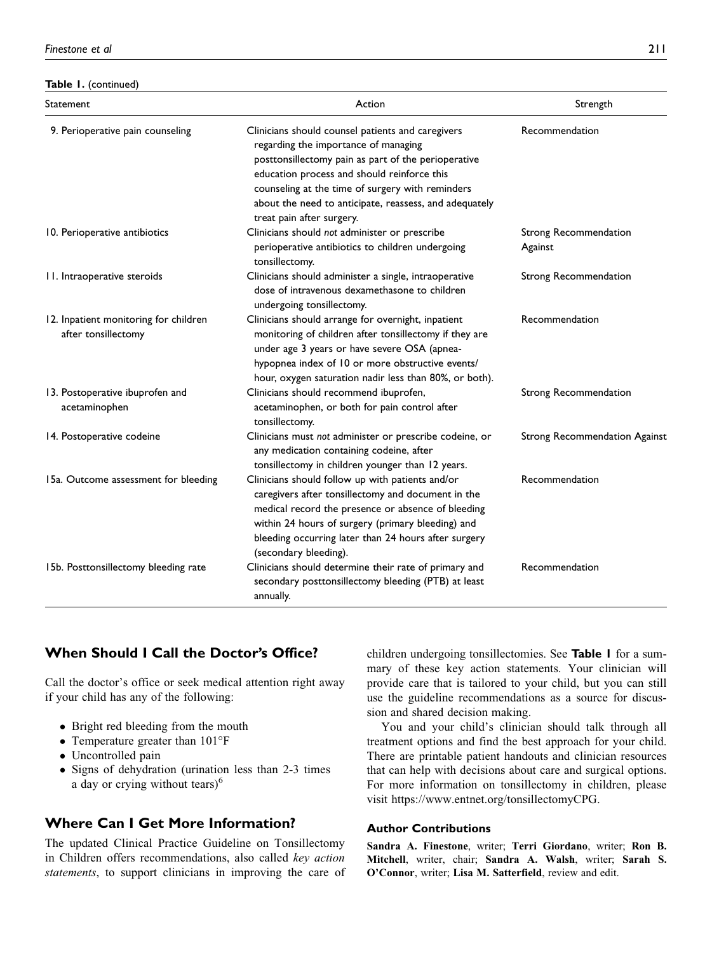### Table 1. (continued)

| Statement                                                    | Action                                                                                                                                                                                                                                                                                                                                     | Strength                         |
|--------------------------------------------------------------|--------------------------------------------------------------------------------------------------------------------------------------------------------------------------------------------------------------------------------------------------------------------------------------------------------------------------------------------|----------------------------------|
| 9. Perioperative pain counseling                             | Clinicians should counsel patients and caregivers<br>regarding the importance of managing<br>posttonsillectomy pain as part of the perioperative<br>education process and should reinforce this<br>counseling at the time of surgery with reminders<br>about the need to anticipate, reassess, and adequately<br>treat pain after surgery. | Recommendation                   |
| 10. Perioperative antibiotics                                | Clinicians should not administer or prescribe<br>perioperative antibiotics to children undergoing<br>tonsillectomy.                                                                                                                                                                                                                        | Strong Recommendation<br>Against |
| II. Intraoperative steroids                                  | Clinicians should administer a single, intraoperative<br>dose of intravenous dexamethasone to children<br>undergoing tonsillectomy.                                                                                                                                                                                                        | Strong Recommendation            |
| 12. Inpatient monitoring for children<br>after tonsillectomy | Clinicians should arrange for overnight, inpatient<br>monitoring of children after tonsillectomy if they are<br>under age 3 years or have severe OSA (apnea-<br>hypopnea index of 10 or more obstructive events/<br>hour, oxygen saturation nadir less than 80%, or both).                                                                 | Recommendation                   |
| 13. Postoperative ibuprofen and<br>acetaminophen             | Clinicians should recommend ibuprofen,<br>acetaminophen, or both for pain control after<br>tonsillectomy.                                                                                                                                                                                                                                  | <b>Strong Recommendation</b>     |
| 14. Postoperative codeine                                    | Clinicians must not administer or prescribe codeine, or<br>any medication containing codeine, after<br>tonsillectomy in children younger than 12 years.                                                                                                                                                                                    | Strong Recommendation Against    |
| 15a. Outcome assessment for bleeding                         | Clinicians should follow up with patients and/or<br>caregivers after tonsillectomy and document in the<br>medical record the presence or absence of bleeding<br>within 24 hours of surgery (primary bleeding) and<br>bleeding occurring later than 24 hours after surgery<br>(secondary bleeding).                                         | Recommendation                   |
| 15b. Posttonsillectomy bleeding rate                         | Clinicians should determine their rate of primary and<br>secondary posttonsillectomy bleeding (PTB) at least<br>annually.                                                                                                                                                                                                                  | Recommendation                   |

# When Should I Call the Doctor's Office?

Call the doctor's office or seek medical attention right away if your child has any of the following:

- Bright red bleeding from the mouth
- Temperature greater than 101°F
- Uncontrolled pain
- Signs of dehydration (urination less than 2-3 times a day or crying without tears) $\delta$

# Where Can I Get More Information?

The updated Clinical Practice Guideline on Tonsillectomy in Children offers recommendations, also called key action statements, to support clinicians in improving the care of children undergoing tonsillectomies. See Table 1 for a summary of these key action statements. Your clinician will provide care that is tailored to your child, but you can still use the guideline recommendations as a source for discussion and shared decision making.

You and your child's clinician should talk through all treatment options and find the best approach for your child. There are printable patient handouts and clinician resources that can help with decisions about care and surgical options. For more information on tonsillectomy in children, please visit https://www.entnet.org/tonsillectomyCPG.

### Author Contributions

Sandra A. Finestone, writer; Terri Giordano, writer; Ron B. Mitchell, writer, chair; Sandra A. Walsh, writer; Sarah S. O'Connor, writer; Lisa M. Satterfield, review and edit.